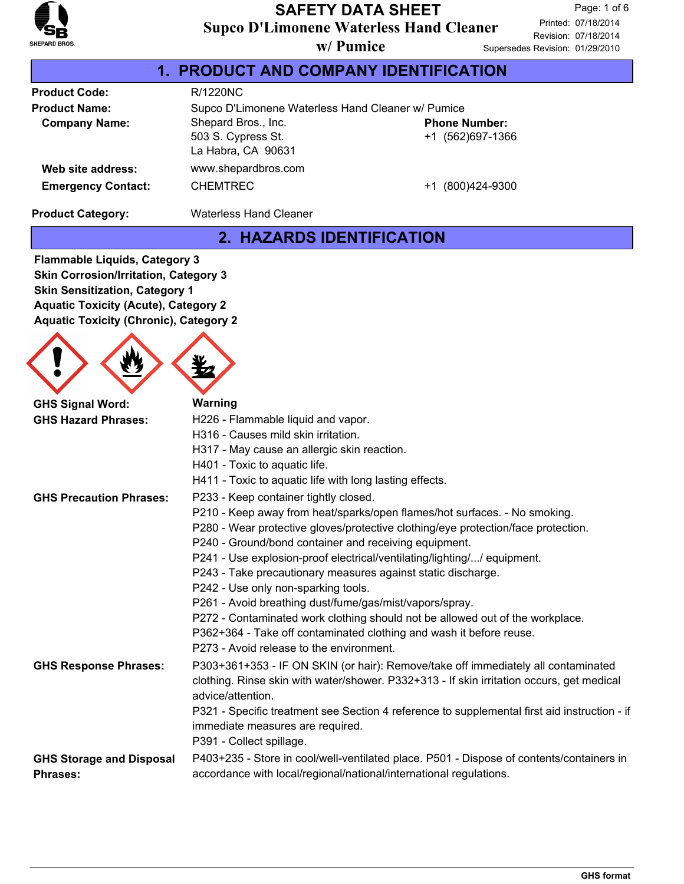

#### **Supco D'Limonene Waterless Hand Cleaner SAFETY DATA SHEET**

Revision: 07/18/2014 Printed: 07/18/2014 Page: 1 of 6 es Revision: 01/29/2010

| w/Pumice                                  | Supersede |
|-------------------------------------------|-----------|
| <b>PRODUCT AND COMPANY IDENTIFICATION</b> |           |

| <b>Product Code:</b>      | R/1220NC                                                        |                                          |  |  |  |
|---------------------------|-----------------------------------------------------------------|------------------------------------------|--|--|--|
| <b>Product Name:</b>      | Supco D'Limonene Waterless Hand Cleaner w/ Pumice               |                                          |  |  |  |
| <b>Company Name:</b>      | Shepard Bros., Inc.<br>503 S. Cypress St.<br>La Habra, CA 90631 | <b>Phone Number:</b><br>+1 (562)697-1366 |  |  |  |
| Web site address:         | www.shepardbros.com                                             |                                          |  |  |  |
| <b>Emergency Contact:</b> | <b>CHEMTREC</b>                                                 | (800)424-9300<br>$+1$                    |  |  |  |

**Product Category:** Waterless Hand Cleaner

#### **2. HAZARDS IDENTIFICATION**

**Flammable Liquids, Category 3 Skin Corrosion/Irritation, Category 3 Skin Sensitization, Category 1 Aquatic Toxicity (Acute), Category 2 Aquatic Toxicity (Chronic), Category 2**

| <b>GHS Signal Word:</b>                     | <b>Warning</b>                                                                                                                                                                                      |
|---------------------------------------------|-----------------------------------------------------------------------------------------------------------------------------------------------------------------------------------------------------|
| <b>GHS Hazard Phrases:</b>                  | H226 - Flammable liquid and vapor.                                                                                                                                                                  |
|                                             | H316 - Causes mild skin irritation.                                                                                                                                                                 |
|                                             | H317 - May cause an allergic skin reaction.                                                                                                                                                         |
|                                             | H401 - Toxic to aquatic life.                                                                                                                                                                       |
|                                             | H411 - Toxic to aquatic life with long lasting effects.                                                                                                                                             |
| <b>GHS Precaution Phrases:</b>              | P233 - Keep container tightly closed.                                                                                                                                                               |
|                                             | P210 - Keep away from heat/sparks/open flames/hot surfaces. - No smoking.                                                                                                                           |
|                                             | P280 - Wear protective gloves/protective clothing/eye protection/face protection.                                                                                                                   |
|                                             | P240 - Ground/bond container and receiving equipment.                                                                                                                                               |
|                                             | P241 - Use explosion-proof electrical/ventilating/lighting// equipment.                                                                                                                             |
|                                             | P243 - Take precautionary measures against static discharge.                                                                                                                                        |
|                                             | P242 - Use only non-sparking tools.                                                                                                                                                                 |
|                                             | P261 - Avoid breathing dust/fume/gas/mist/vapors/spray.                                                                                                                                             |
|                                             | P272 - Contaminated work clothing should not be allowed out of the workplace.                                                                                                                       |
|                                             | P362+364 - Take off contaminated clothing and wash it before reuse.                                                                                                                                 |
|                                             | P273 - Avoid release to the environment.                                                                                                                                                            |
| <b>GHS Response Phrases:</b>                | P303+361+353 - IF ON SKIN (or hair): Remove/take off immediately all contaminated<br>clothing. Rinse skin with water/shower. P332+313 - If skin irritation occurs, get medical<br>advice/attention. |
|                                             | P321 - Specific treatment see Section 4 reference to supplemental first aid instruction - if<br>immediate measures are required.<br>P391 - Collect spillage.                                        |
| <b>GHS Storage and Disposal</b><br>Phrases: | P403+235 - Store in cool/well-ventilated place. P501 - Dispose of contents/containers in<br>accordance with local/regional/national/international regulations.                                      |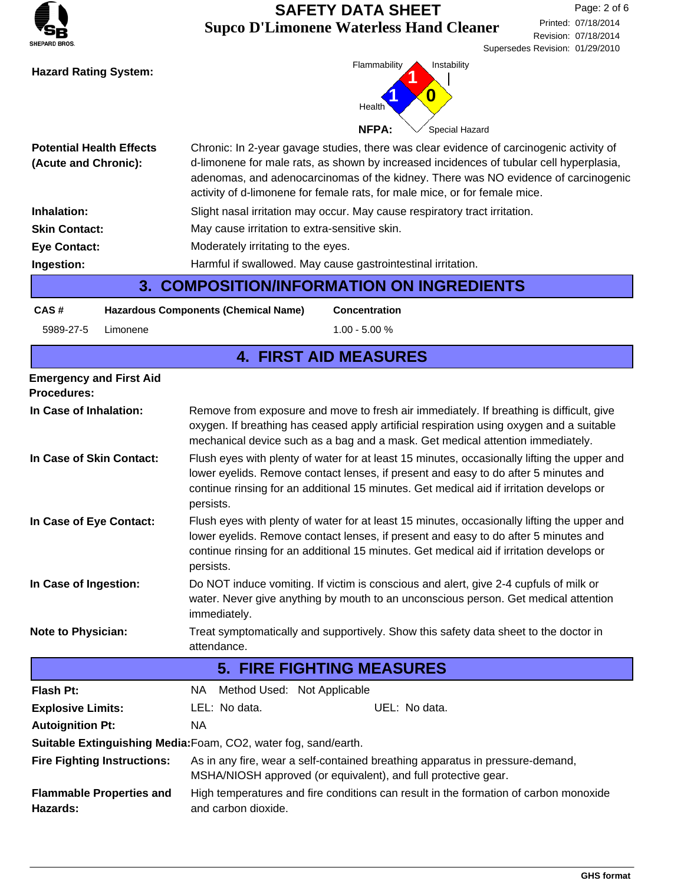| <b>SHEPARD BROS.</b> |
|----------------------|

## **Supco D'Limonene Waterless Hand Cleaner SAFETY DATA SHEET**



| <b>Potential Health Effects</b><br>(Acute and Chronic): | Chronic: In 2-year gavage studies, there was clear evidence of carcinogenic activity of<br>d-limonene for male rats, as shown by increased incidences of tubular cell hyperplasia,<br>adenomas, and adenocarcinomas of the kidney. There was NO evidence of carcinogenic<br>activity of d-limonene for female rats, for male mice, or for female mice. |  |  |  |
|---------------------------------------------------------|--------------------------------------------------------------------------------------------------------------------------------------------------------------------------------------------------------------------------------------------------------------------------------------------------------------------------------------------------------|--|--|--|
| Inhalation:                                             | Slight nasal irritation may occur. May cause respiratory tract irritation.                                                                                                                                                                                                                                                                             |  |  |  |
| <b>Skin Contact:</b>                                    | May cause irritation to extra-sensitive skin.                                                                                                                                                                                                                                                                                                          |  |  |  |
| <b>Eye Contact:</b>                                     | Moderately irritating to the eyes.                                                                                                                                                                                                                                                                                                                     |  |  |  |
| Ingestion:                                              | Harmful if swallowed. May cause gastrointestinal irritation.                                                                                                                                                                                                                                                                                           |  |  |  |
|                                                         |                                                                                                                                                                                                                                                                                                                                                        |  |  |  |

**3. COMPOSITION/INFORMATION ON INGREDIENTS**

**CAS # Hazardous Components (Chemical Name)**

5989-27-5 Limonene 1.00 - 5.00 %

**Concentration**

#### **4. FIRST AID MEASURES**

| <b>Emergency and First Aid</b><br><b>Procedures:</b> |                                                                                                                                                                                                                                                                                             |  |  |  |  |
|------------------------------------------------------|---------------------------------------------------------------------------------------------------------------------------------------------------------------------------------------------------------------------------------------------------------------------------------------------|--|--|--|--|
| In Case of Inhalation:                               | Remove from exposure and move to fresh air immediately. If breathing is difficult, give<br>oxygen. If breathing has ceased apply artificial respiration using oxygen and a suitable<br>mechanical device such as a bag and a mask. Get medical attention immediately.                       |  |  |  |  |
| In Case of Skin Contact:                             | Flush eyes with plenty of water for at least 15 minutes, occasionally lifting the upper and<br>lower eyelids. Remove contact lenses, if present and easy to do after 5 minutes and<br>continue rinsing for an additional 15 minutes. Get medical aid if irritation develops or<br>persists. |  |  |  |  |
| In Case of Eye Contact:                              | Flush eyes with plenty of water for at least 15 minutes, occasionally lifting the upper and<br>lower eyelids. Remove contact lenses, if present and easy to do after 5 minutes and<br>continue rinsing for an additional 15 minutes. Get medical aid if irritation develops or<br>persists. |  |  |  |  |
| In Case of Ingestion:                                | Do NOT induce vomiting. If victim is conscious and alert, give 2-4 cupfuls of milk or<br>water. Never give anything by mouth to an unconscious person. Get medical attention<br>immediately.                                                                                                |  |  |  |  |
| <b>Note to Physician:</b>                            | Treat symptomatically and supportively. Show this safety data sheet to the doctor in<br>attendance.                                                                                                                                                                                         |  |  |  |  |
|                                                      | <b>5. FIRE FIGHTING MEASURES</b>                                                                                                                                                                                                                                                            |  |  |  |  |
| <b>Flash Pt:</b>                                     | Method Used: Not Applicable<br>NA .                                                                                                                                                                                                                                                         |  |  |  |  |
| <b>Explosive Limits:</b>                             | LEL: No data.<br>UEL: No data.                                                                                                                                                                                                                                                              |  |  |  |  |
| <b>Autoignition Pt:</b>                              | <b>NA</b>                                                                                                                                                                                                                                                                                   |  |  |  |  |
|                                                      | Suitable Extinguishing Media: Foam, CO2, water fog, sand/earth.                                                                                                                                                                                                                             |  |  |  |  |
| <b>Fire Fighting Instructions:</b>                   | As in any fire, wear a self-contained breathing apparatus in pressure-demand,<br>MSHA/NIOSH approved (or equivalent), and full protective gear.                                                                                                                                             |  |  |  |  |
| <b>Flammable Properties and</b><br>Hazards:          | High temperatures and fire conditions can result in the formation of carbon monoxide<br>and carbon dioxide.                                                                                                                                                                                 |  |  |  |  |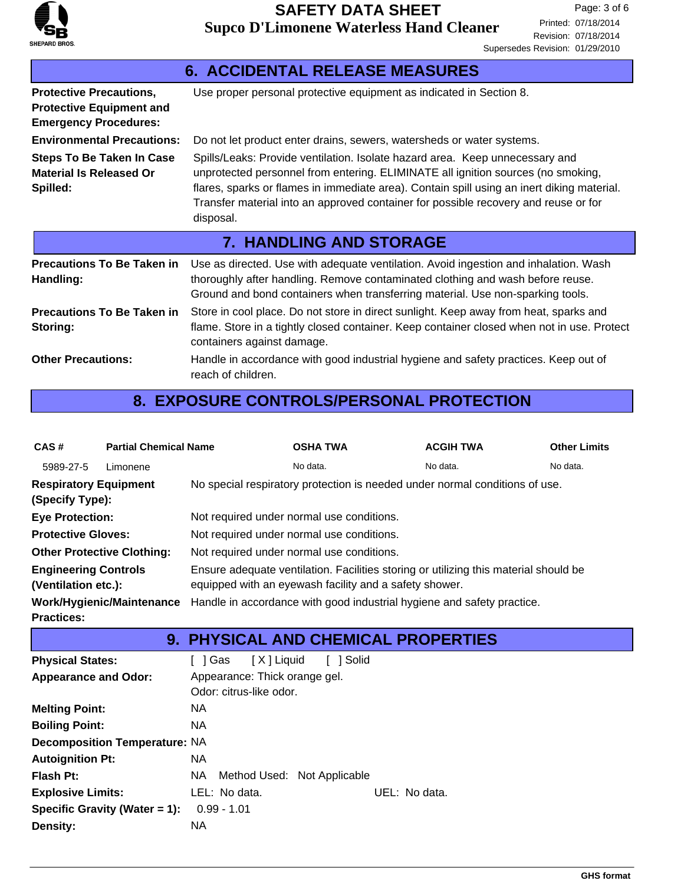

| <b>6. ACCIDENTAL RELEASE MEASURES</b>                                                             |                                                                                                                                                                                                                                                                                                                                                                    |  |  |  |  |
|---------------------------------------------------------------------------------------------------|--------------------------------------------------------------------------------------------------------------------------------------------------------------------------------------------------------------------------------------------------------------------------------------------------------------------------------------------------------------------|--|--|--|--|
| <b>Protective Precautions,</b><br><b>Protective Equipment and</b><br><b>Emergency Procedures:</b> | Use proper personal protective equipment as indicated in Section 8.                                                                                                                                                                                                                                                                                                |  |  |  |  |
| <b>Environmental Precautions:</b>                                                                 | Do not let product enter drains, sewers, watersheds or water systems.                                                                                                                                                                                                                                                                                              |  |  |  |  |
| <b>Steps To Be Taken In Case</b><br><b>Material Is Released Or</b><br>Spilled:                    | Spills/Leaks: Provide ventilation. Isolate hazard area. Keep unnecessary and<br>unprotected personnel from entering. ELIMINATE all ignition sources (no smoking,<br>flares, sparks or flames in immediate area). Contain spill using an inert diking material.<br>Transfer material into an approved container for possible recovery and reuse or for<br>disposal. |  |  |  |  |
|                                                                                                   |                                                                                                                                                                                                                                                                                                                                                                    |  |  |  |  |
|                                                                                                   | <b>7. HANDLING AND STORAGE</b>                                                                                                                                                                                                                                                                                                                                     |  |  |  |  |
| <b>Precautions To Be Taken in</b><br>Handling:                                                    | Use as directed. Use with adequate ventilation. Avoid ingestion and inhalation. Wash<br>thoroughly after handling. Remove contaminated clothing and wash before reuse.<br>Ground and bond containers when transferring material. Use non-sparking tools.                                                                                                           |  |  |  |  |
| <b>Precautions To Be Taken in</b><br>Storing:                                                     | Store in cool place. Do not store in direct sunlight. Keep away from heat, sparks and<br>flame. Store in a tightly closed container. Keep container closed when not in use. Protect<br>containers against damage.                                                                                                                                                  |  |  |  |  |

## **8. EXPOSURE CONTROLS/PERSONAL PROTECTION**

| CAS#                                               | <b>Partial Chemical Name</b> |                                                                                                                                                | <b>OSHA TWA</b> | <b>ACGIH TWA</b> | <b>Other Limits</b> |  |  |
|----------------------------------------------------|------------------------------|------------------------------------------------------------------------------------------------------------------------------------------------|-----------------|------------------|---------------------|--|--|
| 5989-27-5                                          | Limonene                     |                                                                                                                                                | No data.        | No data.         | No data.            |  |  |
| <b>Respiratory Equipment</b><br>(Specify Type):    |                              | No special respiratory protection is needed under normal conditions of use.                                                                    |                 |                  |                     |  |  |
| <b>Eye Protection:</b>                             |                              | Not required under normal use conditions.                                                                                                      |                 |                  |                     |  |  |
| <b>Protective Gloves:</b>                          |                              | Not required under normal use conditions.                                                                                                      |                 |                  |                     |  |  |
| <b>Other Protective Clothing:</b>                  |                              | Not required under normal use conditions.                                                                                                      |                 |                  |                     |  |  |
| <b>Engineering Controls</b><br>(Ventilation etc.): |                              | Ensure adequate ventilation. Facilities storing or utilizing this material should be<br>equipped with an eyewash facility and a safety shower. |                 |                  |                     |  |  |
| Work/Hygienic/Maintenance<br><b>Practices:</b>     |                              | Handle in accordance with good industrial hygiene and safety practice.                                                                         |                 |                  |                     |  |  |

# **9. PHYSICAL AND CHEMICAL PROPERTIES**

| <b>Physical States:</b>              |     |               | Gas   X   Liquid              | [ ] Solid |               |
|--------------------------------------|-----|---------------|-------------------------------|-----------|---------------|
| <b>Appearance and Odor:</b>          |     |               | Appearance: Thick orange gel. |           |               |
|                                      |     |               | Odor: citrus-like odor.       |           |               |
| <b>Melting Point:</b>                | NA. |               |                               |           |               |
| <b>Boiling Point:</b>                | NA. |               |                               |           |               |
| <b>Decomposition Temperature: NA</b> |     |               |                               |           |               |
| <b>Autoignition Pt:</b>              | NA. |               |                               |           |               |
| Flash Pt:                            | NA. |               | Method Used: Not Applicable   |           |               |
| <b>Explosive Limits:</b>             |     | LEL: No data. |                               |           | UEL: No data. |
| Specific Gravity (Water = 1):        |     | $0.99 - 1.01$ |                               |           |               |
| <b>Density:</b>                      | NA. |               |                               |           |               |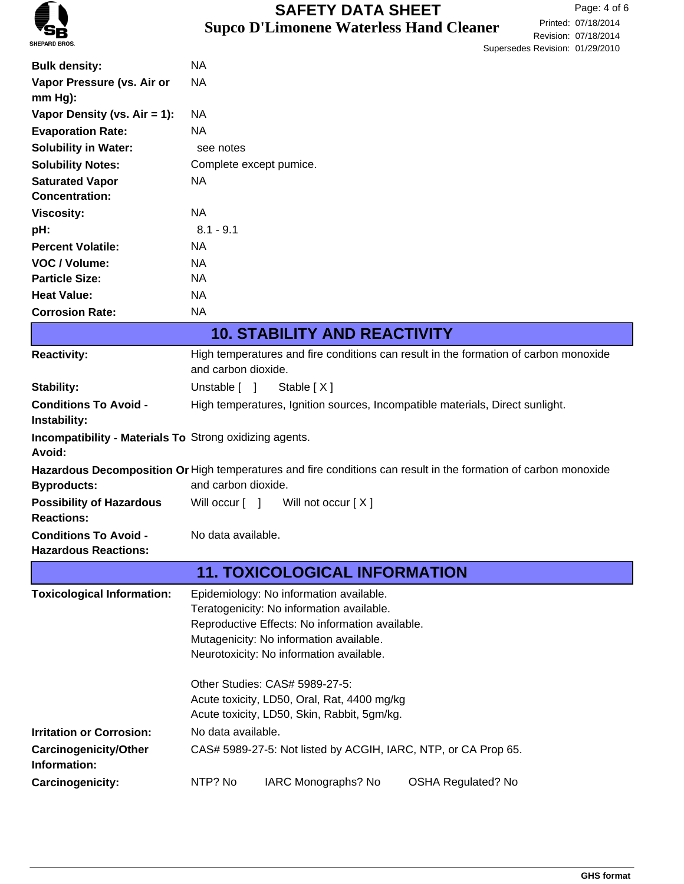

# **Supco D'Limonene Waterless Hand Cleaner SAFETY DATA SHEET**

|                                                                          |                                                                                                                 | <u>Juperseues Itemsium. Unzerzulu</u> |
|--------------------------------------------------------------------------|-----------------------------------------------------------------------------------------------------------------|---------------------------------------|
| <b>Bulk density:</b>                                                     | NA                                                                                                              |                                       |
| Vapor Pressure (vs. Air or                                               | <b>NA</b>                                                                                                       |                                       |
| $mm Hg$ ):                                                               |                                                                                                                 |                                       |
| Vapor Density (vs. $Air = 1$ ):                                          | <b>NA</b>                                                                                                       |                                       |
| <b>Evaporation Rate:</b>                                                 | NA                                                                                                              |                                       |
| <b>Solubility in Water:</b>                                              | see notes                                                                                                       |                                       |
| <b>Solubility Notes:</b>                                                 | Complete except pumice.                                                                                         |                                       |
| <b>Saturated Vapor</b>                                                   | NA                                                                                                              |                                       |
| <b>Concentration:</b>                                                    |                                                                                                                 |                                       |
| <b>Viscosity:</b>                                                        | NA                                                                                                              |                                       |
| pH:                                                                      | $8.1 - 9.1$                                                                                                     |                                       |
| <b>Percent Volatile:</b>                                                 | NA                                                                                                              |                                       |
| VOC / Volume:                                                            | NA                                                                                                              |                                       |
| <b>Particle Size:</b>                                                    | <b>NA</b>                                                                                                       |                                       |
| <b>Heat Value:</b>                                                       | NA                                                                                                              |                                       |
| <b>Corrosion Rate:</b>                                                   | <b>NA</b>                                                                                                       |                                       |
|                                                                          | <b>10. STABILITY AND REACTIVITY</b>                                                                             |                                       |
| <b>Reactivity:</b>                                                       | High temperatures and fire conditions can result in the formation of carbon monoxide<br>and carbon dioxide.     |                                       |
| Stability:                                                               | Unstable $\lceil \quad \rceil$<br>Stable [X]                                                                    |                                       |
| <b>Conditions To Avoid -</b><br>Instability:                             | High temperatures, Ignition sources, Incompatible materials, Direct sunlight.                                   |                                       |
| <b>Incompatibility - Materials To Strong oxidizing agents.</b><br>Avoid: |                                                                                                                 |                                       |
|                                                                          | Hazardous Decomposition Or High temperatures and fire conditions can result in the formation of carbon monoxide |                                       |
| <b>Byproducts:</b>                                                       | and carbon dioxide.                                                                                             |                                       |
| <b>Possibility of Hazardous</b><br><b>Reactions:</b>                     | Will occur [ ] Will not occur [X]                                                                               |                                       |
| <b>Conditions To Avoid -</b><br><b>Hazardous Reactions:</b>              | No data available.                                                                                              |                                       |
|                                                                          | <b>11. TOXICOLOGICAL INFORMATION</b>                                                                            |                                       |
| <b>Toxicological Information:</b>                                        | Epidemiology: No information available.                                                                         |                                       |
|                                                                          | Teratogenicity: No information available.                                                                       |                                       |
|                                                                          | Reproductive Effects: No information available.                                                                 |                                       |
|                                                                          | Mutagenicity: No information available.                                                                         |                                       |
|                                                                          | Neurotoxicity: No information available.                                                                        |                                       |
|                                                                          | Other Studies: CAS# 5989-27-5:                                                                                  |                                       |
|                                                                          | Acute toxicity, LD50, Oral, Rat, 4400 mg/kg                                                                     |                                       |
|                                                                          | Acute toxicity, LD50, Skin, Rabbit, 5gm/kg.                                                                     |                                       |
| <b>Irritation or Corrosion:</b>                                          | No data available.                                                                                              |                                       |
| <b>Carcinogenicity/Other</b>                                             | CAS# 5989-27-5: Not listed by ACGIH, IARC, NTP, or CA Prop 65.                                                  |                                       |
| Information:                                                             |                                                                                                                 |                                       |
| Carcinogenicity:                                                         | NTP? No<br>IARC Monographs? No<br><b>OSHA Regulated? No</b>                                                     |                                       |
|                                                                          |                                                                                                                 |                                       |